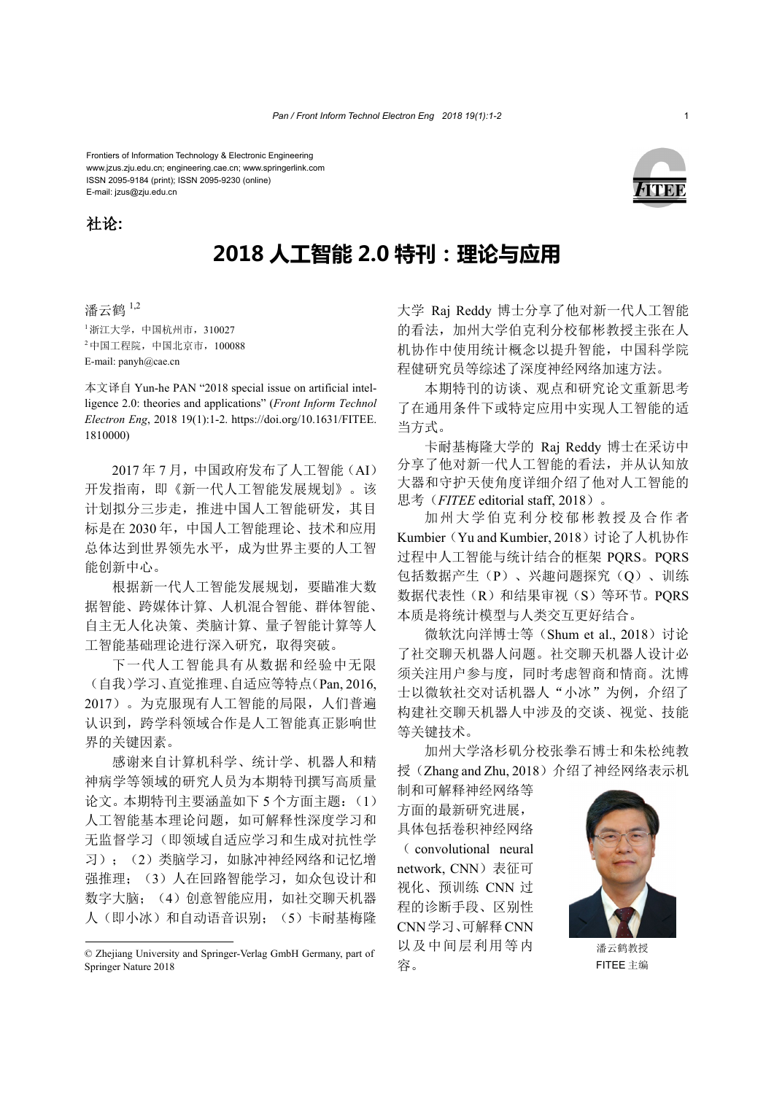Frontiers of Information Technology & Electronic Engineering www.jzus.zju.edu.cn; engineering.cae.cn; www.springerlink.com ISSN 2095-9184 (print); ISSN 2095-9230 (online) E-mail: jzus@zju.edu.cn





## **2018 人工智能 2.0 特刊:理论与应用**

潘云鹤 1,2  $1$ 浙江大学, 中国杭州市, 310027  $2 + \text{ELE}$ 院, 中国北京市, 100088 E-mail: panyh@cae.cn

本文译自 Yun-he PAN "2018 special issue on artificial intelligence 2.0: theories and applications" (*Front Inform Technol Electron Eng*, 2018 19(1):1-2. https://doi.org/10.1631/FITEE. 1810000)

2017 年 7 月,中国政府发布了人工智能(AI) 开发指南,即《新一代人工智能发展规划》。该 计划拟分三步走,推进中国人工智能研发,其目 标是在 2030年, 中国人工智能理论、技术和应用 总体达到世界领先水平,成为世界主要的人工智 能创新中心。

根据新一代人工智能发展规划,要瞄准大数 据智能、跨媒体计算、人机混合智能、群体智能、 自主无人化决策、类脑计算、量子智能计算等人 工智能基础理论进行深入研究,取得突破。

下一代人工智能具有从数据和经验中无限 (自我)学习、直觉推理、自适应等特点(Pan, 2016, 2017)。为克服现有人工智能的局限,人们普遍 认识到,跨学科领域合作是人工智能真正影响世 界的关键因素。

感谢来自计算机科学、统计学、机器人和精 神病学等领域的研究人员为本期特刊撰写高质量 论文。本期特刊主要涵盖如下 5 个方面主题: (1) 人工智能基本理论问题,如可解释性深度学习和 无监督学习(即领域自适应学习和生成对抗性学 习);(2)类脑学习,如脉冲神经网络和记忆增 强推理;(3)人在回路智能学习,如众包设计和 数字大脑;(4)创意智能应用,如社交聊天机器 人(即小冰)和自动语音识别;(5)卡耐基梅隆 大学 Raj Reddy 博士分享了他对新一代人工智能 的看法,加州大学伯克利分校郁彬教授主张在人 机协作中使用统计概念以提升智能,中国科学院 程健研究员等综述了深度神经网络加速方法。

本期特刊的访谈、观点和研究论文重新思考 了在通用条件下或特定应用中实现人工智能的适 当方式。

卡耐基梅隆大学的 Raj Reddy 博士在采访中 分享了他对新一代人工智能的看法,并从认知放 大器和守护天使角度详细介绍了他对人工智能的 思考(*FITEE* editorial staff, 2018)。

加州大学伯克利分校郁彬教授及合作者 Kumbier (Yu and Kumbier, 2018)讨论了人机协作 过程中人工智能与统计结合的框架 PQRS。PQRS 包括数据产生(P)、兴趣问题探究(Q)、训练 数据代表性(R)和结果审视(S)等环节。PORS 本质是将统计模型与人类交互更好结合。

微软沈向洋博士等(Shum et al., 2018)讨论 了社交聊天机器人问题。社交聊天机器人设计必 须关注用户参与度,同时考虑智商和情商。沈博 士以微软社交对话机器人"小冰"为例,介绍了 构建社交聊天机器人中涉及的交谈、视觉、技能 等关键技术。

加州大学洛杉矶分校张拳石博士和朱松纯教 授(Zhang and Zhu, 2018)介绍了神经网络表示机

制和可解释神经网络等 方面的最新研究进展, 具体包括卷积神经网络 ( convolutional neural network, CNN) 表征可 视化、预训练 CNN 过 程的诊断手段、区别性 CNN学习、可解释CNN 以及中间层利用等内 容。



FITEE 主编

<sup>©</sup> Zhejiang University and Springer-Verlag GmbH Germany, part of Springer Nature 2018